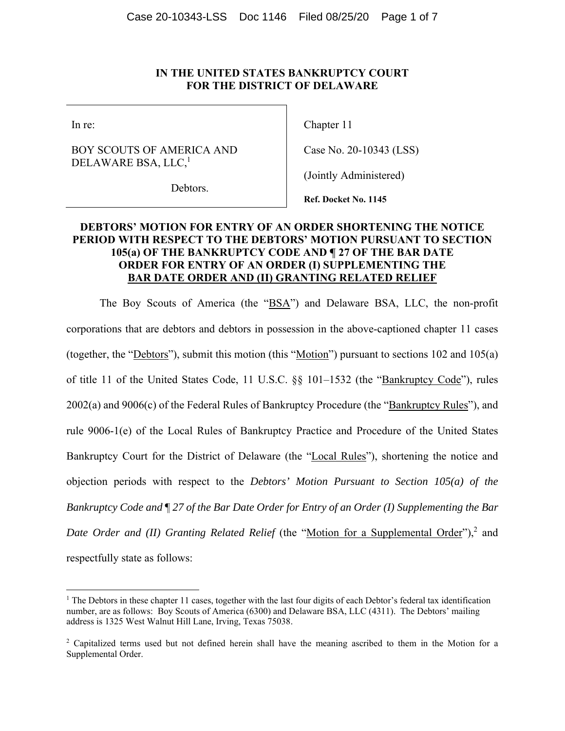#### **IN THE UNITED STATES BANKRUPTCY COURT FOR THE DISTRICT OF DELAWARE**

In re:

## BOY SCOUTS OF AMERICA AND DELAWARE BSA, LLC,<sup>1</sup>

Chapter 11

Case No. 20-10343 (LSS)

(Jointly Administered)

Debtors.

**Ref. Docket No. 1145**

## **DEBTORS' MOTION FOR ENTRY OF AN ORDER SHORTENING THE NOTICE PERIOD WITH RESPECT TO THE DEBTORS' MOTION PURSUANT TO SECTION 105(a) OF THE BANKRUPTCY CODE AND ¶ 27 OF THE BAR DATE ORDER FOR ENTRY OF AN ORDER (I) SUPPLEMENTING THE BAR DATE ORDER AND (II) GRANTING RELATED RELIEF**

The Boy Scouts of America (the "BSA") and Delaware BSA, LLC, the non-profit corporations that are debtors and debtors in possession in the above-captioned chapter 11 cases (together, the "<u>Debtors</u>"), submit this motion (this "<u>Motion</u>") pursuant to sections 102 and 105(a) of title 11 of the United States Code, 11 U.S.C. §§ 101-1532 (the "Bankruptcy Code"), rules 2002(a) and 9006(c) of the Federal Rules of Bankruptcy Procedure (the "Bankruptcy Rules"), and rule 9006-1(e) of the Local Rules of Bankruptcy Practice and Procedure of the United States Bankruptcy Court for the District of Delaware (the "Local Rules"), shortening the notice and objection periods with respect to the *Debtors' Motion Pursuant to Section 105(a) of the Bankruptcy Code and* ¶ *27 of the Bar Date Order for Entry of an Order (I) Supplementing the Bar*  Date Order and (II) Granting Related Relief (the "Motion for a Supplemental Order"),<sup>2</sup> and respectfully state as follows:

<sup>&</sup>lt;sup>1</sup> The Debtors in these chapter 11 cases, together with the last four digits of each Debtor's federal tax identification number, are as follows: Boy Scouts of America (6300) and Delaware BSA, LLC (4311). The Debtors' mailing address is 1325 West Walnut Hill Lane, Irving, Texas 75038.

<sup>&</sup>lt;sup>2</sup> Capitalized terms used but not defined herein shall have the meaning ascribed to them in the Motion for a Supplemental Order.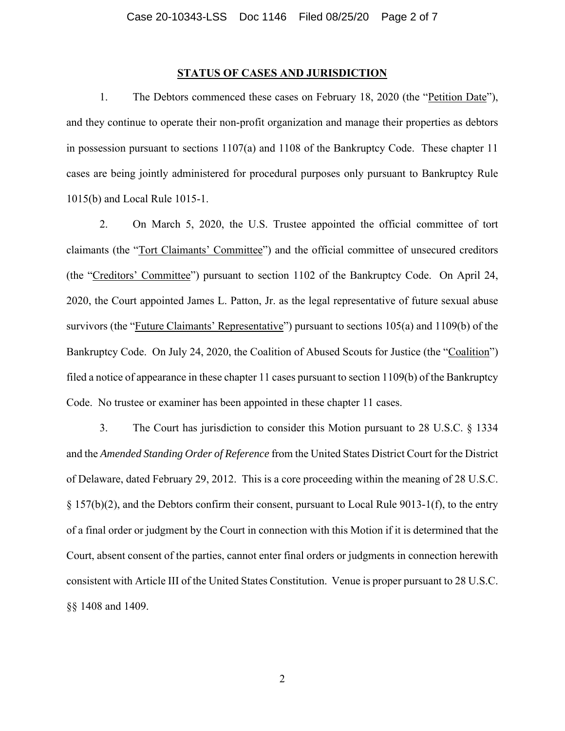#### **STATUS OF CASES AND JURISDICTION**

1. The Debtors commenced these cases on February 18, 2020 (the "Petition Date"), and they continue to operate their non-profit organization and manage their properties as debtors in possession pursuant to sections 1107(a) and 1108 of the Bankruptcy Code. These chapter 11 cases are being jointly administered for procedural purposes only pursuant to Bankruptcy Rule 1015(b) and Local Rule 1015-1.

2. On March 5, 2020, the U.S. Trustee appointed the official committee of tort claimants (the "Tort Claimants' Committee") and the official committee of unsecured creditors (the "Creditors' Committee") pursuant to section 1102 of the Bankruptcy Code. On April 24, 2020, the Court appointed James L. Patton, Jr. as the legal representative of future sexual abuse survivors (the "Future Claimants' Representative") pursuant to sections 105(a) and 1109(b) of the Bankruptcy Code. On July 24, 2020, the Coalition of Abused Scouts for Justice (the "Coalition") filed a notice of appearance in these chapter 11 cases pursuant to section 1109(b) of the Bankruptcy Code. No trustee or examiner has been appointed in these chapter 11 cases.

3. The Court has jurisdiction to consider this Motion pursuant to 28 U.S.C. § 1334 and the *Amended Standing Order of Reference* from the United States District Court for the District of Delaware, dated February 29, 2012. This is a core proceeding within the meaning of 28 U.S.C.  $\S 157(b)(2)$ , and the Debtors confirm their consent, pursuant to Local Rule 9013-1(f), to the entry of a final order or judgment by the Court in connection with this Motion if it is determined that the Court, absent consent of the parties, cannot enter final orders or judgments in connection herewith consistent with Article III of the United States Constitution. Venue is proper pursuant to 28 U.S.C. §§ 1408 and 1409.

2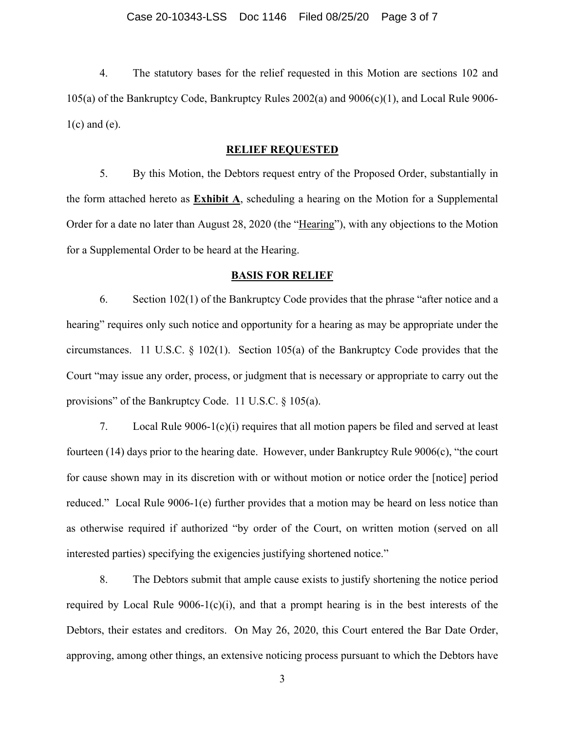4. The statutory bases for the relief requested in this Motion are sections 102 and 105(a) of the Bankruptcy Code, Bankruptcy Rules 2002(a) and 9006(c)(1), and Local Rule 9006-  $1(c)$  and  $(e)$ .

#### **RELIEF REQUESTED**

5. By this Motion, the Debtors request entry of the Proposed Order, substantially in the form attached hereto as **Exhibit A**, scheduling a hearing on the Motion for a Supplemental Order for a date no later than August 28, 2020 (the "Hearing"), with any objections to the Motion for a Supplemental Order to be heard at the Hearing.

#### **BASIS FOR RELIEF**

6. Section 102(1) of the Bankruptcy Code provides that the phrase "after notice and a hearing" requires only such notice and opportunity for a hearing as may be appropriate under the circumstances. 11 U.S.C. § 102(1). Section 105(a) of the Bankruptcy Code provides that the Court "may issue any order, process, or judgment that is necessary or appropriate to carry out the provisions" of the Bankruptcy Code. 11 U.S.C. § 105(a).

7. Local Rule 9006-1(c)(i) requires that all motion papers be filed and served at least fourteen (14) days prior to the hearing date. However, under Bankruptcy Rule 9006(c), "the court for cause shown may in its discretion with or without motion or notice order the [notice] period reduced." Local Rule 9006-1(e) further provides that a motion may be heard on less notice than as otherwise required if authorized "by order of the Court, on written motion (served on all interested parties) specifying the exigencies justifying shortened notice."

8. The Debtors submit that ample cause exists to justify shortening the notice period required by Local Rule  $9006-1(c)(i)$ , and that a prompt hearing is in the best interests of the Debtors, their estates and creditors. On May 26, 2020, this Court entered the Bar Date Order, approving, among other things, an extensive noticing process pursuant to which the Debtors have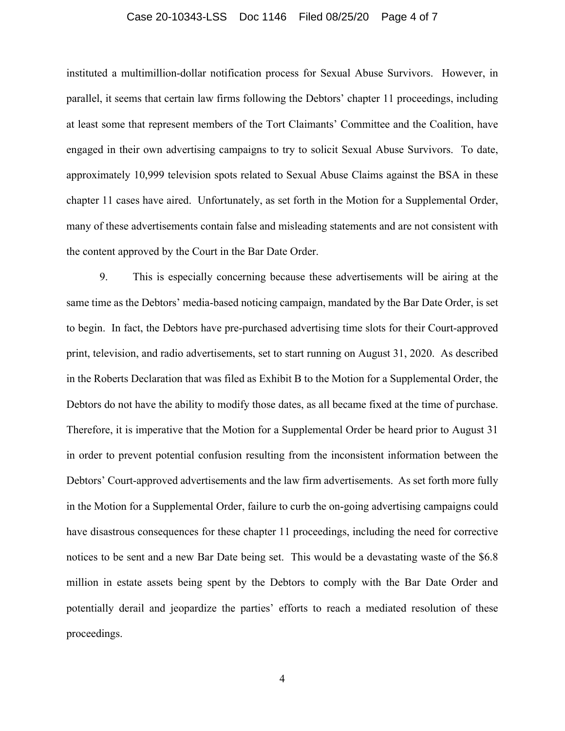#### Case 20-10343-LSS Doc 1146 Filed 08/25/20 Page 4 of 7

instituted a multimillion-dollar notification process for Sexual Abuse Survivors. However, in parallel, it seems that certain law firms following the Debtors' chapter 11 proceedings, including at least some that represent members of the Tort Claimants' Committee and the Coalition, have engaged in their own advertising campaigns to try to solicit Sexual Abuse Survivors. To date, approximately 10,999 television spots related to Sexual Abuse Claims against the BSA in these chapter 11 cases have aired. Unfortunately, as set forth in the Motion for a Supplemental Order, many of these advertisements contain false and misleading statements and are not consistent with the content approved by the Court in the Bar Date Order.

9. This is especially concerning because these advertisements will be airing at the same time as the Debtors' media-based noticing campaign, mandated by the Bar Date Order, is set to begin. In fact, the Debtors have pre-purchased advertising time slots for their Court-approved print, television, and radio advertisements, set to start running on August 31, 2020. As described in the Roberts Declaration that was filed as Exhibit B to the Motion for a Supplemental Order, the Debtors do not have the ability to modify those dates, as all became fixed at the time of purchase. Therefore, it is imperative that the Motion for a Supplemental Order be heard prior to August 31 in order to prevent potential confusion resulting from the inconsistent information between the Debtors' Court-approved advertisements and the law firm advertisements. As set forth more fully in the Motion for a Supplemental Order, failure to curb the on-going advertising campaigns could have disastrous consequences for these chapter 11 proceedings, including the need for corrective notices to be sent and a new Bar Date being set. This would be a devastating waste of the \$6.8 million in estate assets being spent by the Debtors to comply with the Bar Date Order and potentially derail and jeopardize the parties' efforts to reach a mediated resolution of these proceedings.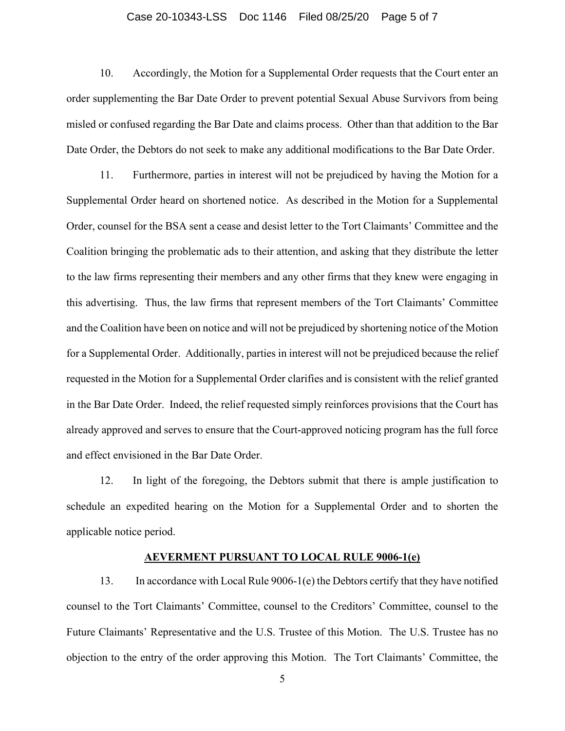#### Case 20-10343-LSS Doc 1146 Filed 08/25/20 Page 5 of 7

10. Accordingly, the Motion for a Supplemental Order requests that the Court enter an order supplementing the Bar Date Order to prevent potential Sexual Abuse Survivors from being misled or confused regarding the Bar Date and claims process. Other than that addition to the Bar Date Order, the Debtors do not seek to make any additional modifications to the Bar Date Order.

11. Furthermore, parties in interest will not be prejudiced by having the Motion for a Supplemental Order heard on shortened notice. As described in the Motion for a Supplemental Order, counsel for the BSA sent a cease and desist letter to the Tort Claimants' Committee and the Coalition bringing the problematic ads to their attention, and asking that they distribute the letter to the law firms representing their members and any other firms that they knew were engaging in this advertising. Thus, the law firms that represent members of the Tort Claimants' Committee and the Coalition have been on notice and will not be prejudiced by shortening notice of the Motion for a Supplemental Order. Additionally, parties in interest will not be prejudiced because the relief requested in the Motion for a Supplemental Order clarifies and is consistent with the relief granted in the Bar Date Order. Indeed, the relief requested simply reinforces provisions that the Court has already approved and serves to ensure that the Court-approved noticing program has the full force and effect envisioned in the Bar Date Order.

12. In light of the foregoing, the Debtors submit that there is ample justification to schedule an expedited hearing on the Motion for a Supplemental Order and to shorten the applicable notice period.

#### **AEVERMENT PURSUANT TO LOCAL RULE 9006-1(e)**

13. In accordance with Local Rule 9006-1(e) the Debtors certify that they have notified counsel to the Tort Claimants' Committee, counsel to the Creditors' Committee, counsel to the Future Claimants' Representative and the U.S. Trustee of this Motion. The U.S. Trustee has no objection to the entry of the order approving this Motion. The Tort Claimants' Committee, the

5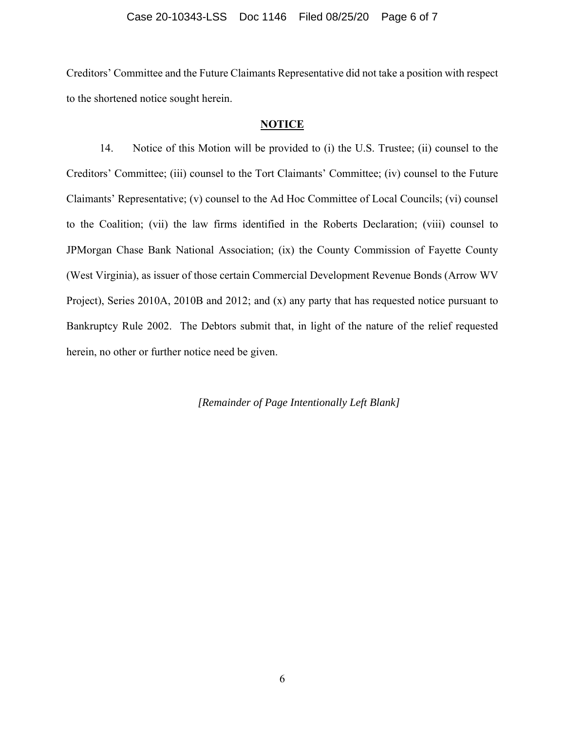#### Case 20-10343-LSS Doc 1146 Filed 08/25/20 Page 6 of 7

Creditors' Committee and the Future Claimants Representative did not take a position with respect to the shortened notice sought herein.

#### **NOTICE**

14. Notice of this Motion will be provided to (i) the U.S. Trustee; (ii) counsel to the Creditors' Committee; (iii) counsel to the Tort Claimants' Committee; (iv) counsel to the Future Claimants' Representative; (v) counsel to the Ad Hoc Committee of Local Councils; (vi) counsel to the Coalition; (vii) the law firms identified in the Roberts Declaration; (viii) counsel to JPMorgan Chase Bank National Association; (ix) the County Commission of Fayette County (West Virginia), as issuer of those certain Commercial Development Revenue Bonds (Arrow WV Project), Series 2010A, 2010B and 2012; and (x) any party that has requested notice pursuant to Bankruptcy Rule 2002. The Debtors submit that, in light of the nature of the relief requested herein, no other or further notice need be given.

*[Remainder of Page Intentionally Left Blank]*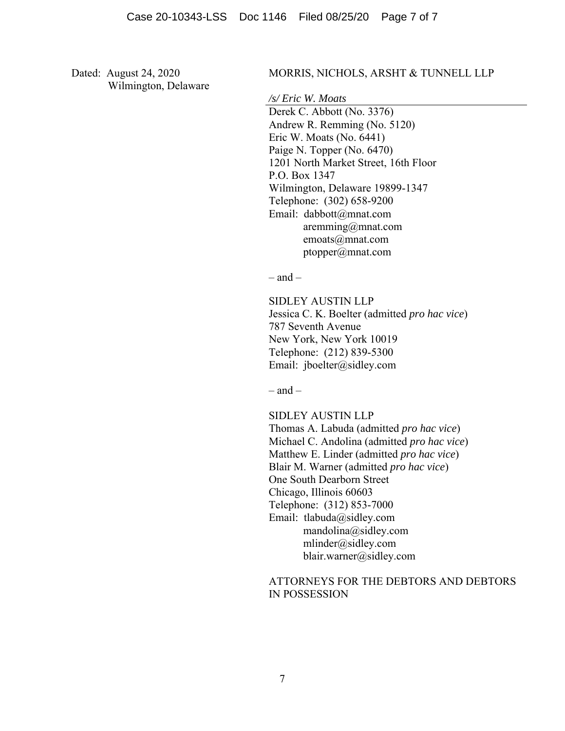Dated: August 24, 2020 Wilmington, Delaware

#### MORRIS, NICHOLS, ARSHT & TUNNELL LLP

*/s/ Eric W. Moats* 

 Derek C. Abbott (No. 3376) Andrew R. Remming (No. 5120) Eric W. Moats (No. 6441) Paige N. Topper (No. 6470) 1201 North Market Street, 16th Floor P.O. Box 1347 Wilmington, Delaware 19899-1347 Telephone: (302) 658-9200 Email: dabbott@mnat.com aremming@mnat.com emoats@mnat.com ptopper@mnat.com

 $-$  and  $-$ 

SIDLEY AUSTIN LLP Jessica C. K. Boelter (admitted *pro hac vice*) 787 Seventh Avenue New York, New York 10019 Telephone: (212) 839-5300 Email: jboelter@sidley.com

 $=$  and  $=$ 

SIDLEY AUSTIN LLP Thomas A. Labuda (admitted *pro hac vice*) Michael C. Andolina (admitted *pro hac vice*) Matthew E. Linder (admitted *pro hac vice*) Blair M. Warner (admitted *pro hac vice*) One South Dearborn Street Chicago, Illinois 60603 Telephone: (312) 853-7000 Email: tlabuda@sidley.com mandolina@sidley.com mlinder@sidley.com blair.warner@sidley.com

## ATTORNEYS FOR THE DEBTORS AND DEBTORS IN POSSESSION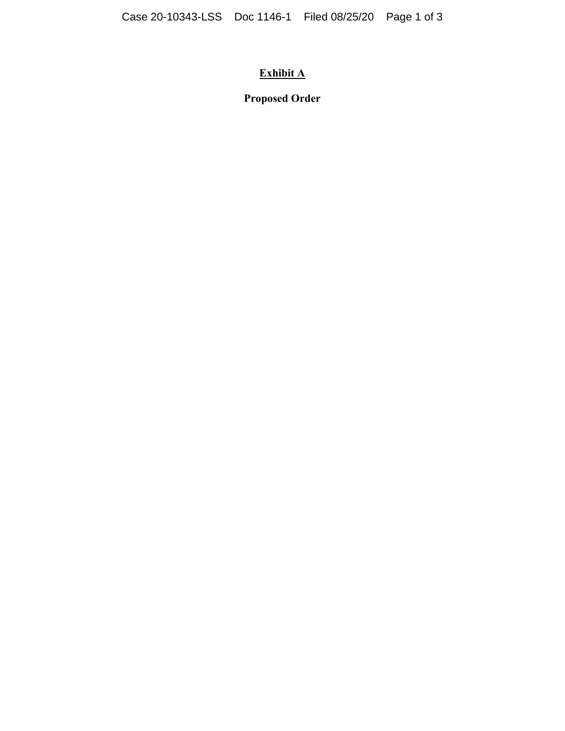# **Exhibit A**

**Proposed Order**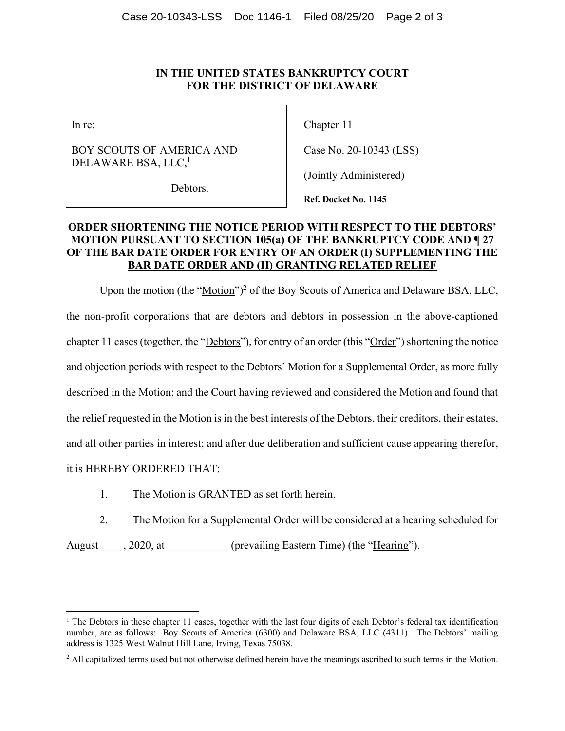### **IN THE UNITED STATES BANKRUPTCY COURT FOR THE DISTRICT OF DELAWARE**

In re:

## BOY SCOUTS OF AMERICA AND DELAWARE BSA, LLC,<sup>1</sup>

Debtors.

Chapter 11

Case No. 20-10343 (LSS)

(Jointly Administered)

**Ref. Docket No. 1145**

## **ORDER SHORTENING THE NOTICE PERIOD WITH RESPECT TO THE DEBTORS' MOTION PURSUANT TO SECTION 105(a) OF THE BANKRUPTCY CODE AND ¶ 27 OF THE BAR DATE ORDER FOR ENTRY OF AN ORDER (I) SUPPLEMENTING THE BAR DATE ORDER AND (II) GRANTING RELATED RELIEF**

Upon the motion (the "Motion")<sup>2</sup> of the Boy Scouts of America and Delaware BSA, LLC, the non-profit corporations that are debtors and debtors in possession in the above-captioned chapter 11 cases (together, the "Debtors"), for entry of an order (this "Order") shortening the notice and objection periods with respect to the Debtors' Motion for a Supplemental Order, as more fully described in the Motion; and the Court having reviewed and considered the Motion and found that the relief requested in the Motion is in the best interests of the Debtors, their creditors, their estates, and all other parties in interest; and after due deliberation and sufficient cause appearing therefor, it is HEREBY ORDERED THAT:

- 1. The Motion is GRANTED as set forth herein.
- 2. The Motion for a Supplemental Order will be considered at a hearing scheduled for

August 1. 2020, at (prevailing Eastern Time) (the "Hearing").

<sup>&</sup>lt;sup>1</sup> The Debtors in these chapter 11 cases, together with the last four digits of each Debtor's federal tax identification number, are as follows: Boy Scouts of America (6300) and Delaware BSA, LLC (4311). The Debtors' mailing address is 1325 West Walnut Hill Lane, Irving, Texas 75038.

<sup>&</sup>lt;sup>2</sup> All capitalized terms used but not otherwise defined herein have the meanings ascribed to such terms in the Motion.